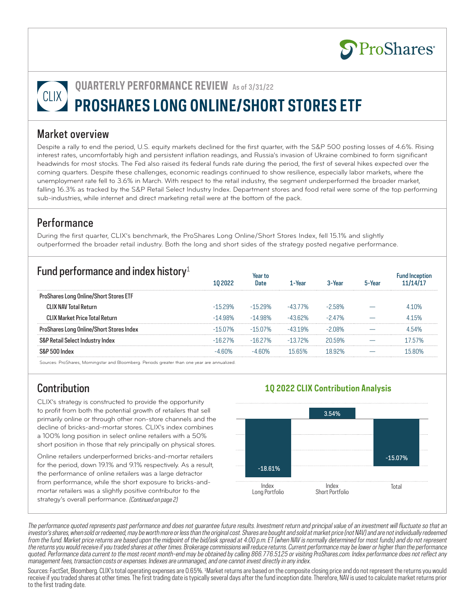

# **QUARTERLY PERFORMANCE REVIEW** As of 3/31/22 **PROSHARES LONG ONLINE/SHORT STORES ETF**

#### Market overview

Despite a rally to end the period, U.S. equity markets declined for the first quarter, with the S&P 500 posting losses of 4.6%. Rising interest rates, uncomfortably high and persistent inflation readings, and Russia's invasion of Ukraine combined to form significant headwinds for most stocks. The Fed also raised its federal funds rate during the period, the first of several hikes expected over the coming quarters. Despite these challenges, economic readings continued to show resilience, especially labor markets, where the unemployment rate fell to 3.6% in March. With respect to the retail industry, the segment underperformed the broader market, falling 16.3% as tracked by the S&P Retail Select Industry Index. Department stores and food retail were some of the top performing sub-industries, while internet and direct marketing retail were at the bottom of the pack.

### **Performance**

During the first quarter, CLIX's benchmark, the ProShares Long Online/Short Stores Index, fell 15.1% and slightly outperformed the broader retail industry. Both the long and short sides of the strategy posted negative performance.

| Fund performance and index history <sup>1</sup> |           |           | Aal      |        |  |
|-------------------------------------------------|-----------|-----------|----------|--------|--|
| hares Long Online/Short Stores ETF              |           |           |          |        |  |
| CLIX NAV Total Return                           | 529%      | $-1529\%$ | $-4377%$ |        |  |
| CIIX Market Price Total Return                  |           |           |          | 7%     |  |
| ihares Long Unline/Short Stores Index           | $-1507\%$ | $-1507\%$ | 19%      | በጸ%    |  |
| ' Retail Select Industry Index                  | 27%       | -16 27%   | -13 72%  | 20.59% |  |
|                                                 |           |           |          |        |  |

Sources: ProShares, Morningstar and Bloomberg. Periods greater than one year are annualized.

## Contribution

CLIX's strategy is constructed to provide the opportunity to profit from both the potential growth of retailers that sell primarily online or through other non-store channels and the decline of bricks-and-mortar stores. CLIX's index combines a 100% long position in select online retailers with a 50% short position in those that rely principally on physical stores.

Online retailers underperformed bricks-and-mortar retailers for the period, down 19.1% and 9.1% respectively. As a result, the performance of online retailers was a large detractor from performance, while the short exposure to bricks-andmortar retailers was a slightly positive contributor to the strategy's overall performance. (Continued on page 2)



**1Q 2022 CLIX Contribution Analysis**

The performance quoted represents past performance and does not guarantee future results. Investment return and principal value of an investment will fluctuate so that an investor's shares, when sold or redeemed, may be worth more or less than the original cost. Shares are bought and sold at market price (not NAV) and are not individually redeemed from the fund. Market price returns are based upon the midpoint of the bid/ask spread at 4:00 p.m. ET (when NAV is normally determined for most funds) and do not represent the returns you would receive if you traded shares at other times. Brokerage commissions will reduce returns. Current performance may be lower or higher than the performance quoted. Performance data current to the most recent month-end may be obtained by calling 866.776.5125 or visiting ProShares.com. Index performance does not reflect any management fees, transaction costs or expenses. Indexes are unmanaged, and one cannot invest directly in any index.

Sources: FactSet, Bloomberg. CLIX's total operating expenses are 0.65%. 1Market returns are based on the composite closing price and do not represent the returns you would receive if you traded shares at other times. The first trading date is typically several days after the fund inception date. Therefore, NAV is used to calculate market returns prior to the first trading date.